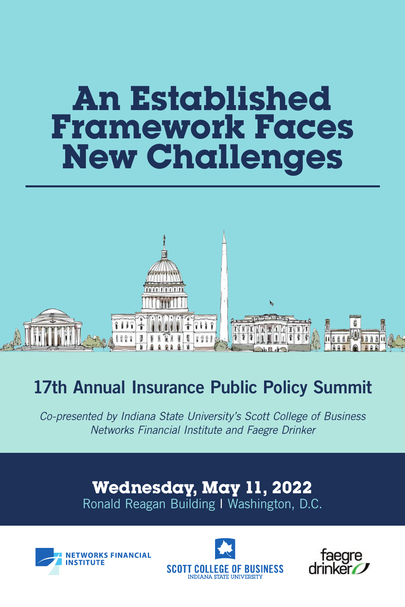# **An Established Framework Faces New Challenges**



# 17th Annual Insurance Public Policy Summit

*Co-presented by Indiana State University's Scott College of Business Networks Financial Institute and Faegre Drinker*

> Ronald Reagan Building I Washington, D.C. **Wednesday, May 11, 2022**





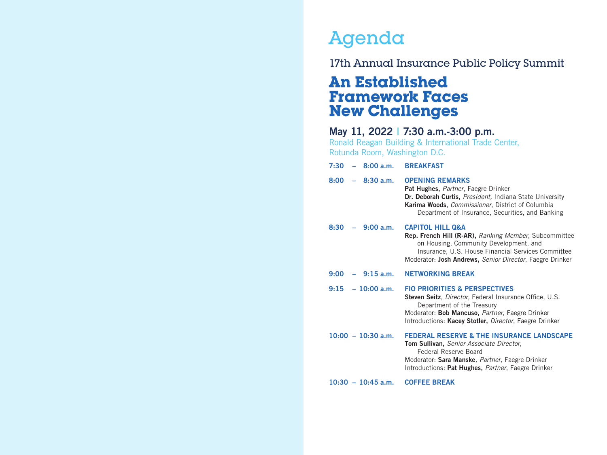# Agenda

# 17th Annual Insurance Public Policy Summit

# **An Established Framework Faces New Challenges**

# May 11, 2022 I 7:30 a.m.-3:00 p.m.

Ronald Reagan Building & International Trade Center, Rotunda Room, Washington D.C.

| $7:30 - 8:00$ a.m.   | <b>BREAKFAST</b>                                                                                                                                                                                                                                 |
|----------------------|--------------------------------------------------------------------------------------------------------------------------------------------------------------------------------------------------------------------------------------------------|
| $-8:30 a.m.$<br>8:00 | <b>OPENING REMARKS</b><br>Pat Hughes, Partner, Faegre Drinker<br>Dr. Deborah Curtis, President, Indiana State University<br>Karima Woods, Commissioner, District of Columbia<br>Department of Insurance, Securities, and Banking                 |
| $8:30 - 9:00$ a.m.   | <b>CAPITOL HILL Q&amp;A</b><br>Rep. French Hill (R-AR), Ranking Member, Subcommittee<br>on Housing, Community Development, and<br>Insurance, U.S. House Financial Services Committee<br>Moderator: Josh Andrews, Senior Director, Faegre Drinker |
| $-9.15$ a.m.<br>9:00 | <b>NETWORKING BREAK</b>                                                                                                                                                                                                                          |
| $9:15 - 10:00$ a.m.  | <b>FIO PRIORITIES &amp; PERSPECTIVES</b><br>Steven Seitz, Director, Federal Insurance Office, U.S.<br>Department of the Treasury<br>Moderator: Bob Mancuso, Partner, Faegre Drinker<br>Introductions: Kacey Stotler, Director, Faegre Drinker    |
| $10:00 - 10:30$ a.m. | <b>FEDERAL RESERVE &amp; THE INSURANCE LANDSCAPE</b><br>Tom Sullivan, Senior Associate Director,<br>Federal Reserve Board<br>Moderator: Sara Manske, Partner, Faegre Drinker<br>Introductions: Pat Hughes, Partner, Faegre Drinker               |
| $10:30 - 10:45$ a.m. | <b>COFFEE BREAK</b>                                                                                                                                                                                                                              |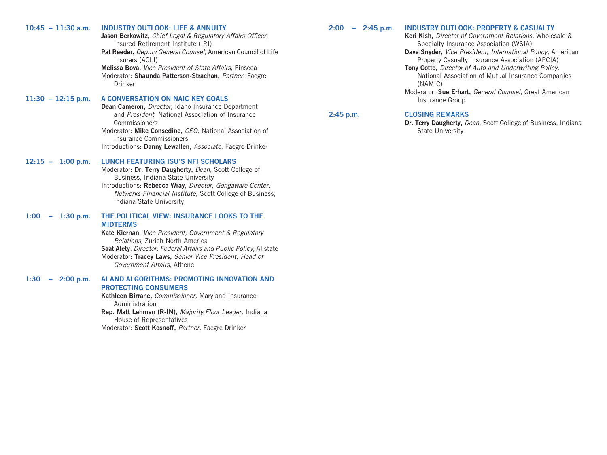| $10:45 - 11:30$ a.m.                            | <b>INDUSTRY OUTLOOK: LIFE &amp; ANNUITY</b><br>Jason Berkowitz, Chief Legal & Regulatory Affairs Officer,<br>Insured Retirement Institute (IRI)<br>Pat Reeder, Deputy General Counsel, American Council of Life<br>Insurers (ACLI)<br>Melissa Bova, Vice President of State Affairs, Finseca<br>Moderator: Shaunda Patterson-Strachan, Partner, Faegre<br>Drinker | 2:00<br>$-$ 2:45 p.m. | <b>INDUSTRY OUTLOOK: PROPERTY &amp; CASUALTY</b><br>Keri Kish, Director of Government Relations, Wholesale &<br>Specialty Insurance Association (WSIA)<br>Dave Snyder, Vice President, International Policy, American<br>Property Casualty Insurance Association (APCIA)<br>Tony Cotto, Director of Auto and Underwriting Policy,<br>National Association of Mutual Insurance Companies<br>(NAMIC)<br>Moderator: Sue Erhart, General Counsel, Great American |
|-------------------------------------------------|-------------------------------------------------------------------------------------------------------------------------------------------------------------------------------------------------------------------------------------------------------------------------------------------------------------------------------------------------------------------|-----------------------|--------------------------------------------------------------------------------------------------------------------------------------------------------------------------------------------------------------------------------------------------------------------------------------------------------------------------------------------------------------------------------------------------------------------------------------------------------------|
| $11:30 - 12:15$ p.m.                            | A CONVERSATION ON NAIC KEY GOALS<br>Dean Cameron, Director, Idaho Insurance Department<br>and President, National Association of Insurance                                                                                                                                                                                                                        | 2:45 p.m.             | Insurance Group<br><b>CLOSING REMARKS</b>                                                                                                                                                                                                                                                                                                                                                                                                                    |
|                                                 | Commissioners<br>Moderator: Mike Consedine, CEO, National Association of<br>Insurance Commissioners<br>Introductions: Danny Lewallen, Associate, Faegre Drinker                                                                                                                                                                                                   |                       | Dr. Terry Daugherty, Dean, Scott College of Business, Indiana<br><b>State University</b>                                                                                                                                                                                                                                                                                                                                                                     |
| $12:15 - 1:00$ p.m.                             | <b>LUNCH FEATURING ISU'S NFI SCHOLARS</b><br>Moderator: Dr. Terry Daugherty, Dean, Scott College of<br>Business, Indiana State University<br>Introductions: Rebecca Wray, Director, Gongaware Center,<br>Networks Financial Institute, Scott College of Business,<br>Indiana State University                                                                     |                       |                                                                                                                                                                                                                                                                                                                                                                                                                                                              |
| $1:30$ p.m.<br>1:00<br>$\overline{\phantom{m}}$ | THE POLITICAL VIEW: INSURANCE LOOKS TO THE<br><b>MIDTERMS</b><br>Kate Kiernan, Vice President, Government & Regulatory<br>Relations, Zurich North America<br>Saat Alety, Director, Federal Affairs and Public Policy, Allstate<br>Moderator: Tracey Laws, Senior Vice President, Head of<br>Government Affairs, Athene                                            |                       |                                                                                                                                                                                                                                                                                                                                                                                                                                                              |
| 1:30<br>2:00 p.m.<br>$\overline{\phantom{m}}$   | AI AND ALGORITHMS: PROMOTING INNOVATION AND<br><b>PROTECTING CONSUMERS</b><br>Kathleen Birrane, Commissioner, Maryland Insurance<br>Administration<br>Rep. Matt Lehman (R-IN), Majority Floor Leader, Indiana<br>House of Representatives<br>Moderator: Scott Kosnoff, Partner, Faegre Drinker                                                                    |                       |                                                                                                                                                                                                                                                                                                                                                                                                                                                              |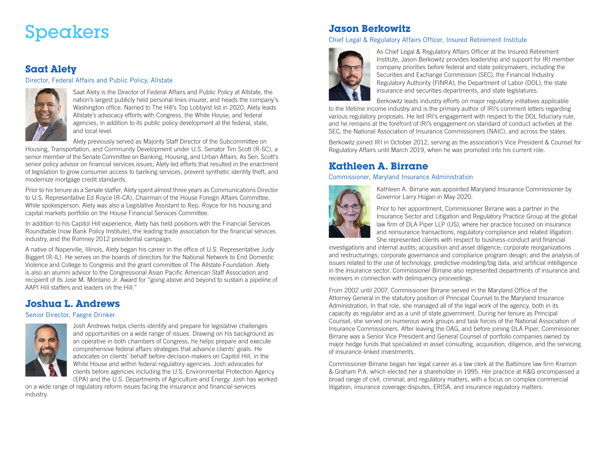# **Speakers** Jason Berkowitz

## **Saat Alety**

#### Director, Federal Affairs and Public Policy, Allstate



Saat Alety is the Director of Federal Affairs and Public Policy at Allstate, the nation's largest publicly held personal lines insurer, and heads the company's Washington office. Named to The Hill's Top Lobbyist list in 2020, Alety leads Allstate's advocacy efforts with Congress, the White House, and federal agencies, in addition to its public policy development at the federal, state, and local level.

Alety previously served as Majority Staff Director of the Subcommittee on

Housing, Transportation, and Community Development under U.S. Senator Tim Scott (R-SC), a senior member of the Senate Committee on Banking, Housing, and Urban Affairs. As Sen. Scott's senior policy advisor on financial services issues, Alety led efforts that resulted in the enactment of legislation to grow consumer access to banking services, prevent synthetic identity theft, and modernize mortgage credit standards.

Prior to his tenure as a Senate staffer, Alety spent almost three years as Communications Director to U.S. Representative Ed Royce (R-CA), Chairman of the House Foreign Affairs Committee. While spokesperson, Alety was also a Legislative Assistant to Rep. Royce for his housing and capital markets portfolio on the House Financial Services Committee.

In addition to his Capitol Hill experience, Alety has held positions with the Financial Services Roundtable (now Bank Policy Institute), the leading trade association for the financial services industry, and the Romney 2012 presidential campaign.

A native of Naperville, Illinois, Alety began his career in the office of U.S. Representative Judy Biggert (R-IL). He serves on the boards of directors for the National Network to End Domestic Violence and College to Congress and the grant committee of The Allstate Foundation. Alety is also an alumni advisor to the Congressional Asian Pacific American Staff Association and recipient of its Jose M. Montano Jr. Award for "going above and beyond to sustain a pipeline of AAPI Hill staffers and leaders on the Hill."

## **Joshua L. Andrews**

#### Senior Director, Faegre Drinker



Josh Andrews helps clients identify and prepare for legislative challenges and opportunities on a wide range of issues. Drawing on his background as an operative in both chambers of Congress, he helps prepare and execute comprehensive federal affairs strategies that advance clients' goals. He advocates on clients' behalf before decision-makers on Capitol Hill, in the White House and within federal regulatory agencies. Josh advocates for clients before agencies including the U.S. Environmental Protection Agency (EPA) and the U.S. Departments of Agriculture and Energy. Josh has worked

on a wide range of regulatory reform issues facing the insurance and financial services industry.

#### Chief Legal & Regulatory Affairs Officer, Insured Retirement Institute



As Chief Legal & Regulatory Affairs Officer at the Insured Retirement Institute, Jason Berkowitz provides leadership and support for IRI member company priorities before federal and state policymakers, including the Securities and Exchange Commission (SEC), the Financial Industry Regulatory Authority (FINRA), the Department of Labor (DOL), the state insurance and securities departments, and state legislatures.

Berkowitz leads industry efforts on major regulatory initiatives applicable

to the lifetime income industry and is the primary author of IRI's comment letters regarding various regulatory proposals. He led IRI's engagement with respect to the DOL fiduciary rule, and he remains at the forefront of IRI's engagement on standard of conduct activities at the SEC, the National Association of Insurance Commissioners (NAIC), and across the states.

Berkowitz joined IRI in October 2012, serving as the association's Vice President & Counsel for Regulatory Affairs until March 2019, when he was promoted into his current role.

## **Kathleen A. Birrane**

#### Commissioner, Maryland Insurance Administration



Kathleen A. Birrane was appointed Maryland Insurance Commissioner by Governor Larry Hogan in May 2020.

Prior to her appointment, Commissioner Birrane was a partner in the Insurance Sector and Litigation and Regulatory Practice Group at the global law firm of DLA Piper LLP (US), where her practice focused on insurance and reinsurance transactions, regulatory compliance and related litigation. She represented clients with respect to business-conduct and financial

investigations and internal audits; acquisition and asset diligence; corporate reorganizations and restructurings; corporate governance and compliance program design; and the analysis of issues related to the use of technology, predictive modeling/big data, and artificial intelligence in the insurance sector. Commissioner Birrane also represented departments of insurance and receivers in connection with delinquency proceedings.

From 2002 until 2007, Commissioner Birrane served in the Maryland Office of the Attorney General in the statutory position of Principal Counsel to the Maryland Insurance Administration. In that role, she managed all of the legal work of the agency, both in its capacity as regulator and as a unit of state government. During her tenure as Principal Counsel, she served on numerous work groups and task forces of the National Association of Insurance Commissioners. After leaving the OAG, and before joining DLA Piper, Commissioner Birrane was a Senior Vice President and General Counsel of portfolio companies owned by major hedge funds that specialized in asset consulting, acquisition, diligence, and the servicing of insurance-linked investments.

Commissioner Birrane began her legal career as a law clerk at the Baltimore law firm Kramon & Graham P.A. which elected her a shareholder in 1995. Her practice at K&G encompassed a broad range of civil, criminal, and regulatory matters, with a focus on complex commercial litigation, insurance coverage disputes, ERISA, and insurance regulatory matters.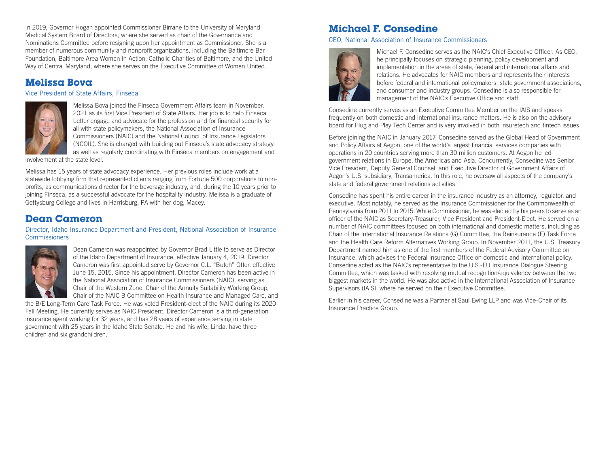In 2019, Governor Hogan appointed Commissioner Birrane to the University of Maryland Medical System Board of Directors, where she served as chair of the Governance and Nominations Committee before resigning upon her appointment as Commissioner. She is a member of numerous community and nonprofit organizations, including the Baltimore Bar Foundation, Baltimore Area Women in Action, Catholic Charities of Baltimore, and the United Way of Central Maryland, where she serves on the Executive Committee of Women United.

## **Melissa Bova**

Vice President of State Affairs, Finseca



Melissa Bova joined the Finseca Government Affairs team in November, 2021 as its first Vice President of State Affairs. Her job is to help Finseca better engage and advocate for the profession and for financial security for all with state policymakers, the National Association of Insurance Commissioners (NAIC) and the National Council of Insurance Legislators (NCOIL). She is charged with building out Finseca's state advocacy strategy as well as regularly coordinating with Finseca members on engagement and

involvement at the state level.

Melissa has 15 years of state advocacy experience. Her previous roles include work at a statewide lobbying firm that represented clients ranging from Fortune 500 corporations to nonprofits, as communications director for the beverage industry, and, during the 10 years prior to joining Finseca, as a successful advocate for the hospitality industry. Melissa is a graduate of Gettysburg College and lives in Harrisburg, PA with her dog, Macey.

## **Dean Cameron**

#### Director, Idaho Insurance Department and President, National Association of Insurance **Commissioners**



Dean Cameron was reappointed by Governor Brad Little to serve as Director of the Idaho Department of Insurance, effective January 4, 2019. Director Cameron was first appointed serve by Governor C.L. "Butch" Otter, effective June 15, 2015. Since his appointment, Director Cameron has been active in the National Association of Insurance Commissioners (NAIC), serving as Chair of the Western Zone, Chair of the Annuity Suitability Working Group, Chair of the NAIC B Committee on Health Insurance and Managed Care, and

the B/E Long-Term Care Task Force. He was voted President-elect of the NAIC during its 2020 Fall Meeting. He currently serves as NAIC President. Director Cameron is a third-generation insurance agent working for 32 years, and has 28 years of experience serving in state government with 25 years in the Idaho State Senate. He and his wife, Linda, have three children and six grandchildren.

## **Michael F. Consedine**

#### CEO, National Association of Insurance Commissioners



Michael F. Consedine serves as the NAIC's Chief Executive Officer. As CEO, he principally focuses on strategic planning, policy development and implementation in the areas of state, federal and international affairs and relations. He advocates for NAIC members and represents their interests before federal and international policymakers, state government associations, and consumer and industry groups. Consedine is also responsible for management of the NAIC's Executive Office and staff.

Consedine currently serves as an Executive Committee Member on the IAIS and speaks frequently on both domestic and international insurance matters. He is also on the advisory board for Plug and Play Tech Center and is very involved in both insuretech and fintech issues.

Before joining the NAIC in January 2017, Consedine served as the Global Head of Government and Policy Affairs at Aegon, one of the world's largest financial services companies with operations in 20 countries serving more than 30 million customers. At Aegon he led government relations in Europe, the Americas and Asia. Concurrently, Consedine was Senior Vice President, Deputy General Counsel, and Executive Director of Government Affairs of Aegon's U.S. subsidiary, Transamerica. In this role, he oversaw all aspects of the company's state and federal government relations activities.

Consedine has spent his entire career in the insurance industry as an attorney, regulator, and executive. Most notably, he served as the Insurance Commissioner for the Commonwealth of Pennsylvania from 2011 to 2015. While Commissioner, he was elected by his peers to serve as an officer of the NAIC as Secretary-Treasurer, Vice President and President-Elect. He served on a number of NAIC committees focused on both international and domestic matters, including as Chair of the International Insurance Relations (G) Committee, the Reinsurance (E) Task Force and the Health Care Reform Alternatives Working Group. In November 2011, the U.S. Treasury Department named him as one of the first members of the Federal Advisory Committee on Insurance, which advises the Federal Insurance Office on domestic and international policy. Consedine acted as the NAIC's representative to the U.S.-EU Insurance Dialogue Steering Committee, which was tasked with resolving mutual recognition/equivalency between the two biggest markets in the world. He was also active in the International Association of Insurance Supervisors (IAIS), where he served on their Executive Committee.

Earlier in his career, Consedine was a Partner at Saul Ewing LLP and was Vice-Chair of its Insurance Practice Group.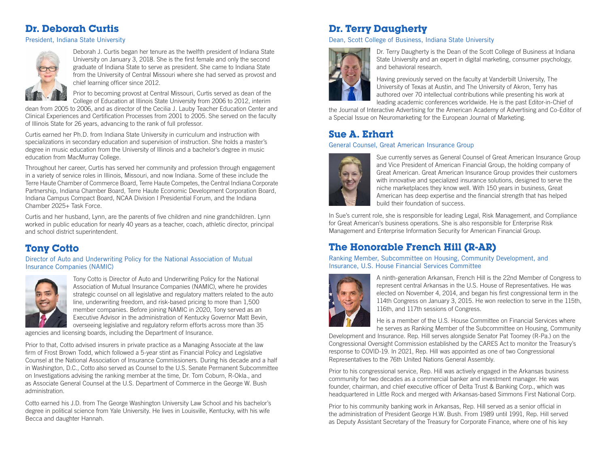# **Dr. Deborah Curtis**

President, Indiana State University



Deborah J. Curtis began her tenure as the twelfth president of Indiana State University on January 3, 2018. She is the first female and only the second graduate of Indiana State to serve as president. She came to Indiana State from the University of Central Missouri where she had served as provost and chief learning officer since 2012.

Prior to becoming provost at Central Missouri, Curtis served as dean of the College of Education at Illinois State University from 2006 to 2012, interim

dean from 2005 to 2006, and as director of the Cecilia J. Lauby Teacher Education Center and Clinical Experiences and Certification Processes from 2001 to 2005. She served on the faculty of Illinois State for 26 years, advancing to the rank of full professor.

Curtis earned her Ph.D. from Indiana State University in curriculum and instruction with specializations in secondary education and supervision of instruction. She holds a master's degree in music education from the University of Illinois and a bachelor's degree in music education from MacMurray College.

Throughout her career, Curtis has served her community and profession through engagement in a variety of service roles in Illinois, Missouri, and now Indiana. Some of these include the Terre Haute Chamber of Commerce Board, Terre Haute Competes, the Central Indiana Corporate Partnership, Indiana Chamber Board, Terre Haute Economic Development Corporation Board, Indiana Campus Compact Board, NCAA Division I Presidential Forum, and the Indiana Chamber 2025+ Task Force.

Curtis and her husband, Lynn, are the parents of five children and nine grandchildren. Lynn worked in public education for nearly 40 years as a teacher, coach, athletic director, principal and school district superintendent.

# **Tony Cotto**

Director of Auto and Underwriting Policy for the National Association of Mutual Insurance Companies (NAMIC)



Tony Cotto is Director of Auto and Underwriting Policy for the National Association of Mutual Insurance Companies (NAMIC), where he provides strategic counsel on all legislative and regulatory matters related to the auto line, underwriting freedom, and risk-based pricing to more than 1,500 member companies. Before joining NAMIC in 2020, Tony served as an Executive Advisor in the administration of Kentucky Governor Matt Bevin, overseeing legislative and regulatory reform efforts across more than 35

agencies and licensing boards, including the Department of Insurance.

Prior to that, Cotto advised insurers in private practice as a Managing Associate at the law firm of Frost Brown Todd, which followed a 5-year stint as Financial Policy and Legislative Counsel at the National Association of Insurance Commissioners. During his decade and a half in Washington, D.C., Cotto also served as Counsel to the U.S. Senate Permanent Subcommittee on Investigations advising the ranking member at the time, Dr. Tom Coburn, R-Okla., and as Associate General Counsel at the U.S. Department of Commerce in the George W. Bush administration.

Cotto earned his J.D. from The George Washington University Law School and his bachelor's degree in political science from Yale University. He lives in Louisville, Kentucky, with his wife Becca and daughter Hannah.

# **Dr. Terry Daugherty**

Dean, Scott College of Business, Indiana State University



Dr. Terry Daugherty is the Dean of the Scott College of Business at Indiana State University and an expert in digital marketing, consumer psychology, and behavioral research.

Having previously served on the faculty at Vanderbilt University, The University of Texas at Austin, and The University of Akron, Terry has authored over 70 intellectual contributions while presenting his work at leading academic conferences worldwide. He is the past Editor-in-Chief of

the Journal of Interactive Advertising for the American Academy of Advertising and Co-Editor of a Special Issue on Neuromarketing for the European Journal of Marketing.

## **Sue A. Erhart**

#### General Counsel, Great American Insurance Group



Sue currently serves as General Counsel of Great American Insurance Group and Vice President of American Financial Group, the holding company of Great American. Great American Insurance Group provides their customers with innovative and specialized insurance solutions, designed to serve the niche marketplaces they know well. With 150 years in business, Great American has deep expertise and the financial strength that has helped build their foundation of success.

In Sue's current role, she is responsible for leading Legal, Risk Management, and Compliance for Great American's business operations. She is also responsible for Enterprise Risk Management and Enterprise Information Security for American Financial Group.

# **The Honorable French Hill (R-AR)**

Ranking Member, Subcommittee on Housing, Community Development, and Insurance, U.S. House Financial Services Committee



A ninth-generation Arkansan, French Hill is the 22nd Member of Congress to represent central Arkansas in the U.S. House of Representatives. He was elected on November 4, 2014, and began his first congressional term in the 114th Congress on January 3, 2015. He won reelection to serve in the 115th, 116th, and 117th sessions of Congress.

He is a member of the U.S. House Committee on Financial Services where he serves as Ranking Member of the Subcommittee on Housing, Community

Development and Insurance. Rep. Hill serves alongside Senator Pat Toomey (R-Pa.) on the Congressional Oversight Commission established by the CARES Act to monitor the Treasury's response to COVID-19. In 2021, Rep. Hill was appointed as one of two Congressional Representatives to the 76th United Nations General Assembly.

Prior to his congressional service, Rep. Hill was actively engaged in the Arkansas business community for two decades as a commercial banker and investment manager. He was founder, chairman, and chief executive officer of Delta Trust & Banking Corp., which was headquartered in Little Rock and merged with Arkansas-based Simmons First National Corp.

Prior to his community banking work in Arkansas, Rep. Hill served as a senior official in the administration of President George H.W. Bush. From 1989 until 1991, Rep. Hill served as Deputy Assistant Secretary of the Treasury for Corporate Finance, where one of his key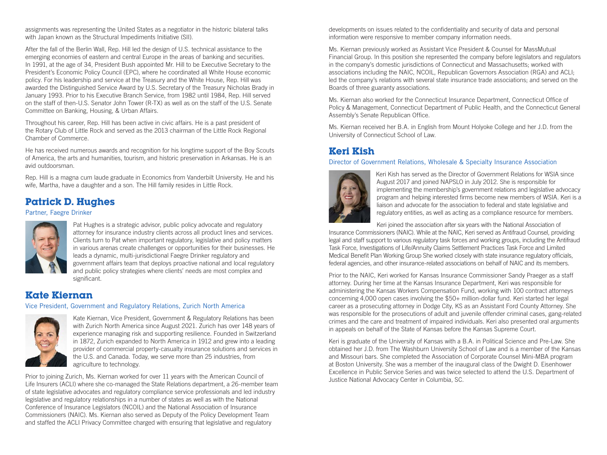assignments was representing the United States as a negotiator in the historic bilateral talks with Japan known as the Structural Impediments Initiative (SII).

After the fall of the Berlin Wall, Rep. Hill led the design of U.S. technical assistance to the emerging economies of eastern and central Europe in the areas of banking and securities. In 1991, at the age of 34, President Bush appointed Mr. Hill to be Executive Secretary to the President's Economic Policy Council (EPC), where he coordinated all White House economic policy. For his leadership and service at the Treasury and the White House, Rep. Hill was awarded the Distinguished Service Award by U.S. Secretary of the Treasury Nicholas Brady in January 1993. Prior to his Executive Branch Service, from 1982 until 1984, Rep. Hill served on the staff of then-U.S. Senator John Tower (R-TX) as well as on the staff of the U.S. Senate Committee on Banking, Housing, & Urban Affairs.

Throughout his career, Rep. Hill has been active in civic affairs. He is a past president of the Rotary Club of Little Rock and served as the 2013 chairman of the Little Rock Regional Chamber of Commerce.

He has received numerous awards and recognition for his longtime support of the Boy Scouts of America, the arts and humanities, tourism, and historic preservation in Arkansas. He is an avid outdoorsman.

Rep. Hill is a magna cum laude graduate in Economics from Vanderbilt University. He and his wife, Martha, have a daughter and a son. The Hill family resides in Little Rock.

## **Patrick D. Hughes**

#### Partner, Faegre Drinker



Pat Hughes is a strategic advisor, public policy advocate and regulatory attorney for insurance industry clients across all product lines and services. Clients turn to Pat when important regulatory, legislative and policy matters in various arenas create challenges or opportunities for their businesses. He leads a dynamic, multi-jurisdictional Faegre Drinker regulatory and government affairs team that deploys proactive national and local regulatory and public policy strategies where clients' needs are most complex and significant.

#### **Kate Kiernan**

#### Vice President, Government and Regulatory Relations, Zurich North America



Kate Kiernan, Vice President, Government & Regulatory Relations has been with Zurich North America since August 2021. Zurich has over 148 years of experience managing risk and supporting resilience. Founded in Switzerland in 1872, Zurich expanded to North America in 1912 and grew into a leading provider of commercial property-casualty insurance solutions and services in the U.S. and Canada. Today, we serve more than 25 industries, from agriculture to technology.

Prior to joining Zurich, Ms. Kiernan worked for over 11 years with the American Council of Life Insurers (ACLI) where she co-managed the State Relations department, a 26-member team of state legislative advocates and regulatory compliance service professionals and led industry legislative and regulatory relationships in a number of states as well as with the National Conference of Insurance Legislators (NCOIL) and the National Association of Insurance Commissioners (NAIC). Ms. Kiernan also served as Deputy of the Policy Development Team and staffed the ACLI Privacy Committee charged with ensuring that legislative and regulatory

developments on issues related to the confidentiality and security of data and personal information were responsive to member company information needs.

Ms. Kiernan previously worked as Assistant Vice President & Counsel for MassMutual Financial Group. In this position she represented the company before legislators and regulators in the company's domestic jurisdictions of Connecticut and Massachusetts; worked with associations including the NAIC, NCOIL, Republican Governors Association (RGA) and ACLI; led the company's relations with several state insurance trade associations; and served on the Boards of three guaranty associations.

Ms. Kiernan also worked for the Connecticut Insurance Department, Connecticut Office of Policy & Management, Connecticut Department of Public Health, and the Connecticut General Assembly's Senate Republican Office.

Ms. Kiernan received her B.A. in English from Mount Holyoke College and her J.D. from the University of Connecticut School of Law.

## **Keri Kish**

#### Director of Government Relations, Wholesale & Specialty Insurance Association



Keri Kish has served as the Director of Government Relations for WSIA since August 2017 and joined NAPSLO in July 2012. She is responsible for implementing the membership's government relations and legislative advocacy program and helping interested firms become new members of WSIA. Keri is a liaison and advocate for the association to federal and state legislative and regulatory entities, as well as acting as a compliance resource for members.

Keri joined the association after six years with the National Association of

Insurance Commissioners (NAIC). While at the NAIC, Keri served as Antifraud Counsel, providing legal and staff support to various regulatory task forces and working groups, including the Antifraud Task Force, Investigations of Life/Annuity Claims Settlement Practices Task Force and Limited Medical Benefit Plan Working Group She worked closely with state insurance regulatory officials, federal agencies, and other insurance-related associations on behalf of NAIC and its members.

Prior to the NAIC, Keri worked for Kansas Insurance Commissioner Sandy Praeger as a staff attorney. During her time at the Kansas Insurance Department, Keri was responsible for administering the Kansas Workers Compensation Fund, working with 100 contract attorneys concerning 4,000 open cases involving the \$50+ million-dollar fund. Keri started her legal career as a prosecuting attorney in Dodge City, KS as an Assistant Ford County Attorney. She was responsible for the prosecutions of adult and juvenile offender criminal cases, gang-related crimes and the care and treatment of impaired individuals. Keri also presented oral arguments in appeals on behalf of the State of Kansas before the Kansas Supreme Court.

Keri is graduate of the University of Kansas with a B.A. in Political Science and Pre-Law. She obtained her J.D. from The Washburn University School of Law and is a member of the Kansas and Missouri bars. She completed the Association of Corporate Counsel Mini-MBA program at Boston University. She was a member of the inaugural class of the Dwight D. Eisenhower Excellence in Public Service Series and was twice selected to attend the U.S. Department of Justice National Advocacy Center in Columbia, SC.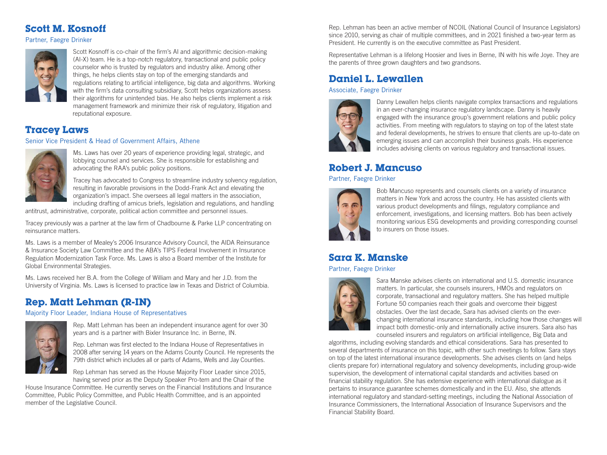## **Scott M. Kosnoff**

Partner, Faegre Drinker



Scott Kosnoff is co-chair of the firm's AI and algorithmic decision-making (AI-X) team. He is a top-notch regulatory, transactional and public policy counselor who is trusted by regulators and industry alike. Among other things, he helps clients stay on top of the emerging standards and regulations relating to artificial intelligence, big data and algorithms. Working with the firm's data consulting subsidiary, Scott helps organizations assess their algorithms for unintended bias. He also helps clients implement a risk management framework and minimize their risk of regulatory, litigation and reputational exposure.

## **Tracey Laws**

#### Senior Vice President & Head of Government Affairs, Athene



Ms. Laws has over 20 years of experience providing legal, strategic, and lobbying counsel and services. She is responsible for establishing and advocating the RAA's public policy positions.

Tracey has advocated to Congress to streamline industry solvency regulation, resulting in favorable provisions in the Dodd-Frank Act and elevating the organization's impact. She oversees all legal matters in the association, including drafting of amicus briefs, legislation and regulations, and handling

antitrust, administrative, corporate, political action committee and personnel issues.

Tracey previously was a partner at the law firm of Chadbourne & Parke LLP concentrating on reinsurance matters.

Ms. Laws is a member of Mealey's 2006 Insurance Advisory Council, the AIDA Reinsurance & Insurance Society Law Committee and the ABA's TIPS Federal Involvement in Insurance Regulation Modernization Task Force. Ms. Laws is also a Board member of the Institute for Global Environmental Strategies.

Ms. Laws received her B.A. from the College of William and Mary and her J.D. from the University of Virginia. Ms. Laws is licensed to practice law in Texas and District of Columbia.

## **Rep. Matt Lehman (R-IN)**

#### Majority Floor Leader, Indiana House of Representatives



Rep. Matt Lehman has been an independent insurance agent for over 30 years and is a partner with Bixler Insurance Inc. in Berne, IN.

Rep. Lehman was first elected to the Indiana House of Representatives in 2008 after serving 14 years on the Adams County Council. He represents the 79th district which includes all or parts of Adams, Wells and Jay Counties.

Rep Lehman has served as the House Majority Floor Leader since 2015, having served prior as the Deputy Speaker Pro-tem and the Chair of the

House Insurance Committee. He currently serves on the Financial Institutions and Insurance Committee, Public Policy Committee, and Public Health Committee, and is an appointed member of the Legislative Council.

Rep. Lehman has been an active member of NCOIL (National Council of Insurance Legislators) since 2010, serving as chair of multiple committees, and in 2021 finished a two-year term as President. He currently is on the executive committee as Past President.

Representative Lehman is a lifelong Hoosier and lives in Berne, IN with his wife Joye. They are the parents of three grown daughters and two grandsons.

# **Daniel L. Lewallen**

Associate, Faegre Drinker



Danny Lewallen helps clients navigate complex transactions and regulations in an ever-changing insurance regulatory landscape. Danny is heavily engaged with the insurance group's government relations and public policy activities. From meeting with regulators to staying on top of the latest state and federal developments, he strives to ensure that clients are up-to-date on emerging issues and can accomplish their business goals. His experience includes advising clients on various regulatory and transactional issues.

## **Robert J. Mancuso**

#### Partner, Faegre Drinker



Bob Mancuso represents and counsels clients on a variety of insurance matters in New York and across the country. He has assisted clients with various product developments and filings, regulatory compliance and enforcement, investigations, and licensing matters. Bob has been actively monitoring various ESG developments and providing corresponding counsel to insurers on those issues.

# **Sara K. Manske**

#### Partner, Faegre Drinker



Sara Manske advises clients on international and U.S. domestic insurance matters. In particular, she counsels insurers, HMOs and regulators on corporate, transactional and regulatory matters. She has helped multiple Fortune 50 companies reach their goals and overcome their biggest obstacles. Over the last decade, Sara has advised clients on the everchanging international insurance standards, including how those changes will impact both domestic-only and internationally active insurers. Sara also has counseled insurers and regulators on artificial intelligence, Big Data and

algorithms, including evolving standards and ethical considerations. Sara has presented to several departments of insurance on this topic, with other such meetings to follow. Sara stays on top of the latest international insurance developments. She advises clients on (and helps clients prepare for) international regulatory and solvency developments, including group-wide supervision, the development of international capital standards and activities based on financial stability regulation. She has extensive experience with international dialogue as it pertains to insurance guarantee schemes domestically and in the EU. Also, she attends international regulatory and standard-setting meetings, including the National Association of Insurance Commissioners, the International Association of Insurance Supervisors and the Financial Stability Board.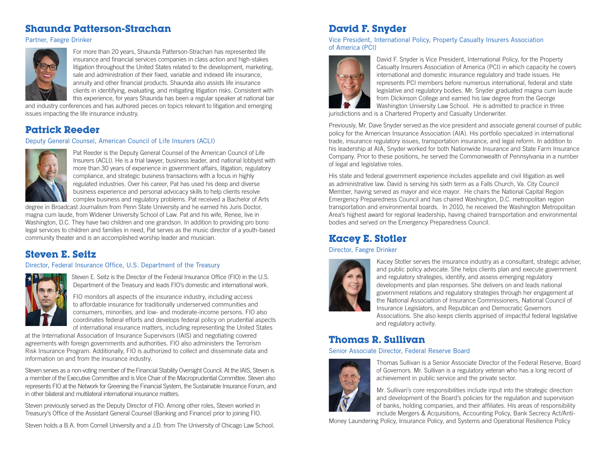## **Shaunda Patterson-Strachan**

Partner, Faegre Drinker



For more than 20 years, Shaunda Patterson-Strachan has represented life insurance and financial services companies in class action and high-stakes litigation throughout the United States related to the development, marketing, sale and administration of their fixed, variable and indexed life insurance, annuity and other financial products. Shaunda also assists life insurance clients in identifying, evaluating, and mitigating litigation risks. Consistent with this experience, for years Shaunda has been a regular speaker at national bar

and industry conferences and has authored pieces on topics relevant to litigation and emerging issues impacting the life insurance industry.

## **Patrick Reeder**

#### Deputy General Counsel, American Council of Life Insurers (ACLI)



Pat Reeder is the Deputy General Counsel of the American Council of Life Insurers (ACLI). He is a trial lawyer, business leader, and national lobbyist with more than 30 years of experience in government affairs, litigation, regulatory compliance, and strategic business transactions with a focus in highly regulated industries. Over his career, Pat has used his deep and diverse business experience and personal advocacy skills to help clients resolve complex business and regulatory problems. Pat received a Bachelor of Arts

degree in Broadcast Journalism from Penn State University and he earned his Juris Doctor, magna cum laude, from Widener University School of Law. Pat and his wife, Renee, live in Washington, D.C. They have two children and one grandson. In addition to providing pro bono legal services to children and families in need, Pat serves as the music director of a youth-based community theater and is an accomplished worship leader and musician.

# **Steven E. Seitz**

Director, Federal Insurance Office, U.S. Department of the Treasury



Steven E. Seitz is the Director of the Federal Insurance Office (FIO) in the U.S. Department of the Treasury and leads FIO's domestic and international work.

FIO monitors all aspects of the insurance industry, including access to affordable insurance for traditionally underserved communities and consumers, minorities, and low- and moderate-income persons. FIO also coordinates federal efforts and develops federal policy on prudential aspects of international insurance matters, including representing the United States

at the International Association of Insurance Supervisors (IAIS) and negotiating covered agreements with foreign governments and authorities. FIO also administers the Terrorism Risk Insurance Program. Additionally, FIO is authorized to collect and disseminate data and information on and from the insurance industry.

Steven serves as a non-voting member of the Financial Stability Oversight Council. At the IAIS, Steven is a member of the Executive Committee and is Vice Chair of the Macroprudential Committee. Steven also represents FIO at the Network for Greening the Financial System, the Sustainable Insurance Forum, and in other bilateral and multilateral international insurance matters.

Steven previously served as the Deputy Director of FIO. Among other roles, Steven worked in Treasury's Office of the Assistant General Counsel (Banking and Finance) prior to joining FIO.

Steven holds a B.A. from Cornell University and a J.D. from The University of Chicago Law School.

# **David F. Snyder**

Vice President, International Policy, Property Casualty Insurers Association of America (PCI)



David F. Snyder is Vice President, International Policy, for the Property Casualty Insurers Association of America (PCI) in which capacity he covers international and domestic insurance regulatory and trade issues. He represents PCI members before numerous international, federal and state legislative and regulatory bodies. Mr. Snyder graduated magna cum laude from Dickinson College and earned his law degree from the George Washington University Law School. He is admitted to practice in three

jurisdictions and is a Chartered Property and Casualty Underwriter.

Previously, Mr. Dave Snyder served as the vice president and associate general counsel of public policy for the American Insurance Association (AIA). His portfolio specialized in international trade, insurance regulatory issues, transportation insurance, and legal reform. In addition to his leadership at AIA, Snyder worked for both Nationwide Insurance and State Farm Insurance Company. Prior to these positions, he served the Commonwealth of Pennsylvania in a number of legal and legislative roles.

His state and federal government experience includes appellate and civil litigation as well as administrative law. David is serving his sixth term as a Falls Church, Va. City Council Member, having served as mayor and vice mayor. He chairs the National Capital Region Emergency Preparedness Council and has chaired Washington, D.C. metropolitan region transportation and environmental boards. In 2010, he received the Washington Metropolitan Area's highest award for regional leadership, having chaired transportation and environmental bodies and served on the Emergency Preparedness Council.

# **Kacey E. Stotler**

#### Director, Faegre Drinker



Kacey Stotler serves the insurance industry as a consultant, strategic adviser, and public policy advocate. She helps clients plan and execute government and regulatory strategies, identify, and assess emerging regulatory developments and plan responses. She delivers on and leads national government relations and regulatory strategies through her engagement at the National Association of Insurance Commissioners, National Council of Insurance Legislators, and Republican and Democratic Governors Associations. She also keeps clients apprised of impactful federal legislative and regulatory activity.

## **Thomas R. Sullivan**

#### Senior Associate Director, Federal Reserve Board



Thomas Sullivan is a Senior Associate Director of the Federal Reserve, Board of Governors. Mr. Sullivan is a regulatory veteran who has a long record of achievement in public service and the private sector.

Mr. Sullivan's core responsibilities include input into the strategic direction and development of the Board's policies for the regulation and supervision of banks, holding companies, and their affiliates. His areas of responsibility include Mergers & Acquisitions, Accounting Policy, Bank Secrecy Act/Anti-

Money Laundering Policy, Insurance Policy, and Systems and Operational Resilience Policy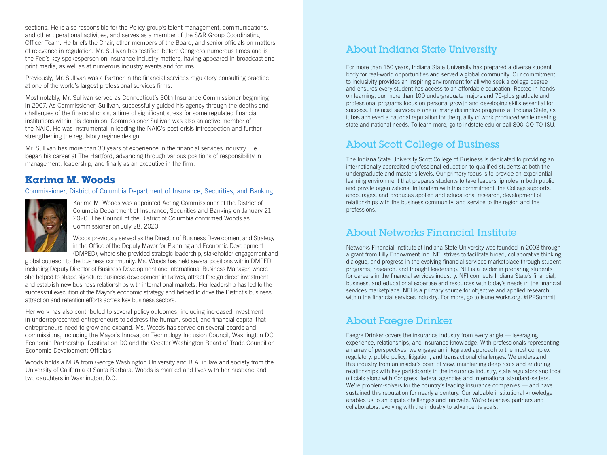sections. He is also responsible for the Policy group's talent management, communications, and other operational activities, and serves as a member of the S&R Group Coordinating Officer Team. He briefs the Chair, other members of the Board, and senior officials on matters of relevance in regulation. Mr. Sullivan has testified before Congress numerous times and is the Fed's key spokesperson on insurance industry matters, having appeared in broadcast and print media, as well as at numerous industry events and forums.

Previously, Mr. Sullivan was a Partner in the financial services regulatory consulting practice at one of the world's largest professional services firms.

Most notably, Mr. Sullivan served as Connecticut's 30th Insurance Commissioner beginning in 2007. As Commissioner, Sullivan, successfully guided his agency through the depths and challenges of the financial crisis, a time of significant stress for some regulated financial institutions within his dominion. Commissioner Sullivan was also an active member of the NAIC. He was instrumental in leading the NAIC's post-crisis introspection and further strengthening the regulatory regime design.

Mr. Sullivan has more than 30 years of experience in the financial services industry. He began his career at The Hartford, advancing through various positions of responsibility in management, leadership, and finally as an executive in the firm.

## **Karima M. Woods**

Commissioner, District of Columbia Department of Insurance, Securities, and Banking



Karima M. Woods was appointed Acting Commissioner of the District of Columbia Department of Insurance, Securities and Banking on January 21, 2020. The Council of the District of Columbia confirmed Woods as Commissioner on July 28, 2020.

Woods previously served as the Director of Business Development and Strategy in the Office of the Deputy Mayor for Planning and Economic Development (DMPED), where she provided strategic leadership, stakeholder engagement and

global outreach to the business community. Ms. Woods has held several positions within DMPED, including Deputy Director of Business Development and International Business Manager, where she helped to shape signature business development initiatives, attract foreign direct investment and establish new business relationships with international markets. Her leadership has led to the successful execution of the Mayor's economic strategy and helped to drive the District's business attraction and retention efforts across key business sectors.

Her work has also contributed to several policy outcomes, including increased investment in underrepresented entrepreneurs to address the human, social, and financial capital that entrepreneurs need to grow and expand. Ms. Woods has served on several boards and commissions, including the Mayor's Innovation Technology Inclusion Council, Washington DC Economic Partnership, Destination DC and the Greater Washington Board of Trade Council on Economic Development Officials.

Woods holds a MBA from George Washington University and B.A. in law and society from the University of California at Santa Barbara. Woods is married and lives with her husband and two daughters in Washington, D.C.

# About Indiana State University

For more than 150 years, Indiana State University has prepared a diverse student body for real-world opportunities and served a global community. Our commitment to inclusivity provides an inspiring environment for all who seek a college degree and ensures every student has access to an affordable education. Rooted in handson learning, our more than 100 undergraduate majors and 75-plus graduate and professional programs focus on personal growth and developing skills essential for success. Financial services is one of many distinctive programs at Indiana State, as it has achieved a national reputation for the quality of work produced while meeting state and national needs. To learn more, go to indstate.edu or call 800-GO-TO-ISU.

# About Scott College of Business

The Indiana State University Scott College of Business is dedicated to providing an internationally accredited professional education to qualified students at both the undergraduate and master's levels. Our primary focus is to provide an experiential learning environment that prepares students to take leadership roles in both public and private organizations. In tandem with this commitment, the College supports, encourages, and produces applied and educational research, development of relationships with the business community, and service to the region and the professions.

## About Networks Financial Institute

Networks Financial Institute at Indiana State University was founded in 2003 through a grant from Lilly Endowment Inc. NFI strives to facilitate broad, collaborative thinking, dialogue, and progress in the evolving financial services marketplace through student programs, research, and thought leadership. NFI is a leader in preparing students for careers in the financial services industry. NFI connects Indiana State's financial, business, and educational expertise and resources with today's needs in the financial services marketplace. NFI is a primary source for objective and applied research within the financial services industry. For more, go to isunetworks.org. #IPPSummit

# About Faegre Drinker

Faegre Drinker covers the insurance industry from every angle — leveraging experience, relationships, and insurance knowledge. With professionals representing an array of perspectives, we engage an integrated approach to the most complex regulatory, public policy, litigation, and transactional challenges. We understand this industry from an insider's point of view, maintaining deep roots and enduring relationships with key participants in the insurance industry, state regulators and local officials along with Congress, federal agencies and international standard-setters. We're problem-solvers for the country's leading insurance companies — and have sustained this reputation for nearly a century. Our valuable institutional knowledge enables us to anticipate challenges and innovate. We're business partners and collaborators, evolving with the industry to advance its goals.